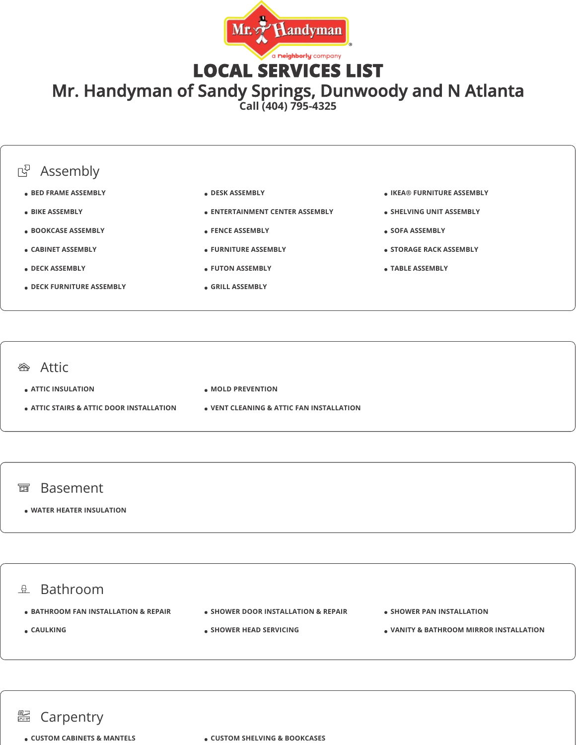

LOCAL SERVICES LIST

Mr. Handyman of Sandy Springs, Dunwoody and N Atlanta

**Call (404) 795-4325**



## **<sup>企</sup>**Attic

**ATTIC INSULATION**

- **ATTIC STAIRS & ATTIC DOOR INSTALLATION**
- **MOLD PREVENTION**
- **VENT CLEANING & ATTIC FAN INSTALLATION**

## 面 Basement

**WATER HEATER INSULATION**

## $\mathbb{R}$  Bathroom  $\bullet$  **BATHROOM FAN INSTALLATION & REPAIR CAULKING • SHOWER DOOR INSTALLATION & REPAIR SHOWER HEAD SERVICING • SHOWER PAN INSTALLATION VANITY & BATHROOM MIRROR INSTALLATION**

## **图 Carpentry**

**CUSTOM CABINETS & MANTELS CUSTOM SHELVING & BOOKCASES**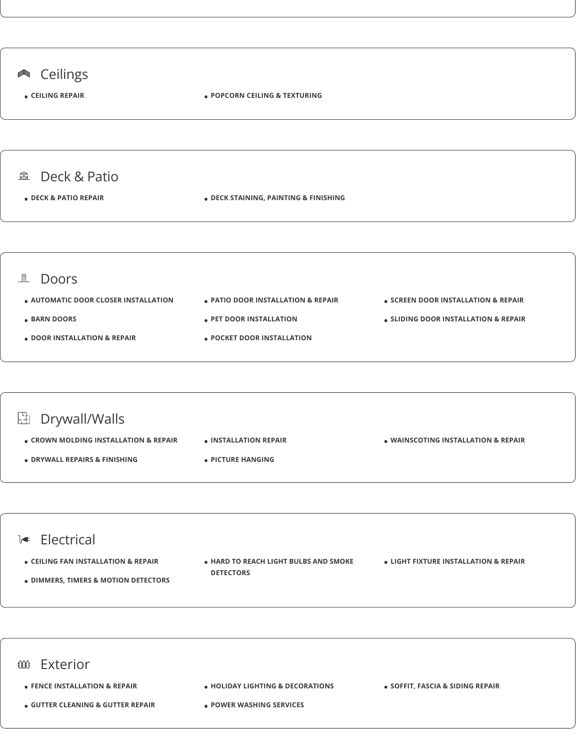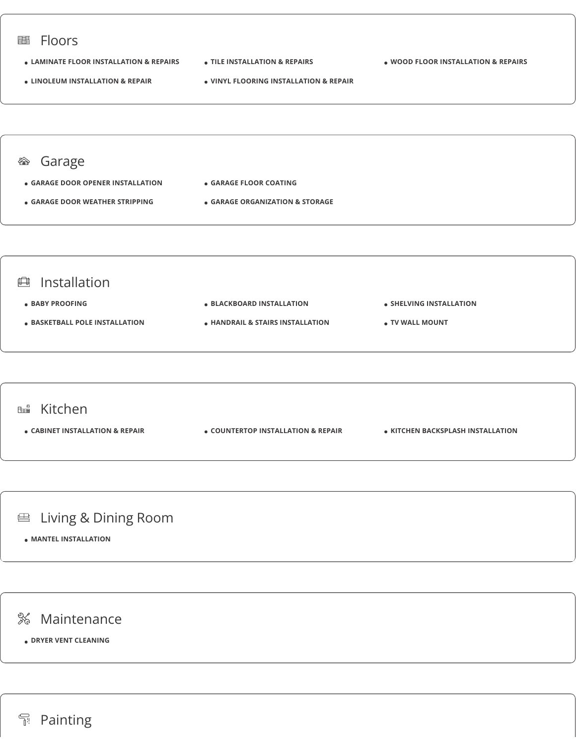

**Painting**